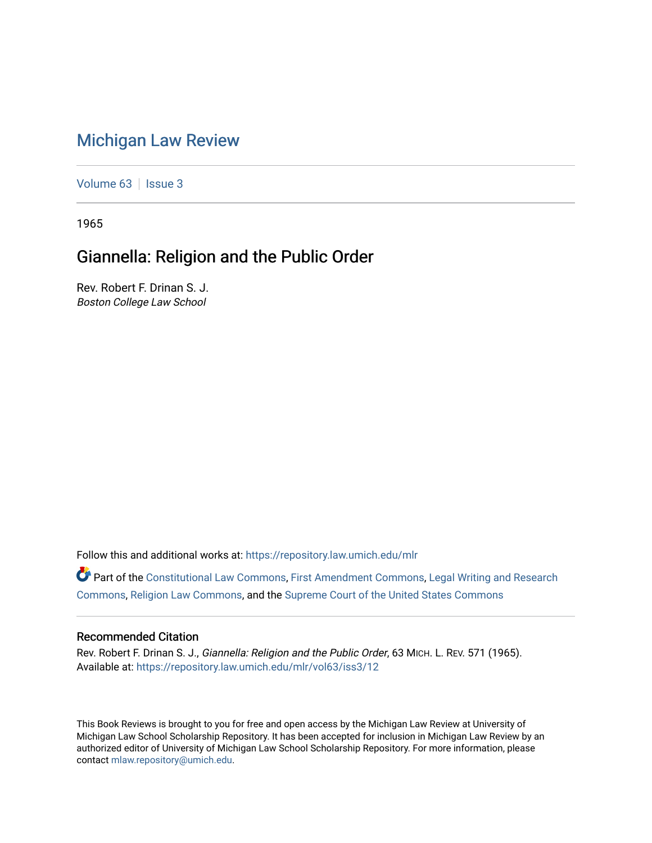## [Michigan Law Review](https://repository.law.umich.edu/mlr)

[Volume 63](https://repository.law.umich.edu/mlr/vol63) | [Issue 3](https://repository.law.umich.edu/mlr/vol63/iss3)

1965

## Giannella: Religion and the Public Order

Rev. Robert F. Drinan S. J. Boston College Law School

Follow this and additional works at: [https://repository.law.umich.edu/mlr](https://repository.law.umich.edu/mlr?utm_source=repository.law.umich.edu%2Fmlr%2Fvol63%2Fiss3%2F12&utm_medium=PDF&utm_campaign=PDFCoverPages) 

Part of the [Constitutional Law Commons,](http://network.bepress.com/hgg/discipline/589?utm_source=repository.law.umich.edu%2Fmlr%2Fvol63%2Fiss3%2F12&utm_medium=PDF&utm_campaign=PDFCoverPages) [First Amendment Commons,](http://network.bepress.com/hgg/discipline/1115?utm_source=repository.law.umich.edu%2Fmlr%2Fvol63%2Fiss3%2F12&utm_medium=PDF&utm_campaign=PDFCoverPages) [Legal Writing and Research](http://network.bepress.com/hgg/discipline/614?utm_source=repository.law.umich.edu%2Fmlr%2Fvol63%2Fiss3%2F12&utm_medium=PDF&utm_campaign=PDFCoverPages) [Commons](http://network.bepress.com/hgg/discipline/614?utm_source=repository.law.umich.edu%2Fmlr%2Fvol63%2Fiss3%2F12&utm_medium=PDF&utm_campaign=PDFCoverPages), [Religion Law Commons,](http://network.bepress.com/hgg/discipline/872?utm_source=repository.law.umich.edu%2Fmlr%2Fvol63%2Fiss3%2F12&utm_medium=PDF&utm_campaign=PDFCoverPages) and the [Supreme Court of the United States Commons](http://network.bepress.com/hgg/discipline/1350?utm_source=repository.law.umich.edu%2Fmlr%2Fvol63%2Fiss3%2F12&utm_medium=PDF&utm_campaign=PDFCoverPages)

## Recommended Citation

Rev. Robert F. Drinan S. J., Giannella: Religion and the Public Order, 63 MICH. L. REV. 571 (1965). Available at: [https://repository.law.umich.edu/mlr/vol63/iss3/12](https://repository.law.umich.edu/mlr/vol63/iss3/12?utm_source=repository.law.umich.edu%2Fmlr%2Fvol63%2Fiss3%2F12&utm_medium=PDF&utm_campaign=PDFCoverPages) 

This Book Reviews is brought to you for free and open access by the Michigan Law Review at University of Michigan Law School Scholarship Repository. It has been accepted for inclusion in Michigan Law Review by an authorized editor of University of Michigan Law School Scholarship Repository. For more information, please contact [mlaw.repository@umich.edu](mailto:mlaw.repository@umich.edu).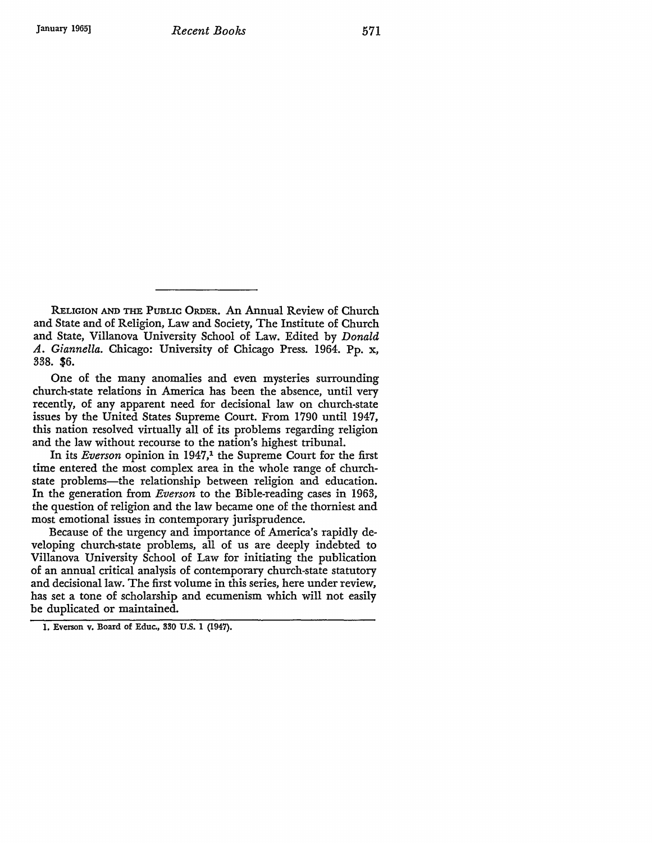RELIGION AND THE PUBLIC ORDER. An Annual Review of Church and State and of Religion, Law and Society, The Institute of Church and State, Villanova University School of Law. Edited by *Donald A. Giannella.* Chicago: University of Chicago Press. 1964. Pp. x, 338. \$6.

One of the many anomalies and even mysteries surrounding church-state relations in America has been the absence, until very recently, of any apparent need for decisional law on church-state issues by the United States Supreme Court. From 1790 until 1947, this nation resolved virtually all of its problems regarding religion and the law without recourse to the nation's highest tribunal.

In its *Everson* opinion in 1947,<sup>1</sup> the Supreme Court for the first time entered the most complex area in the whole range of churchstate problems-the relationship between religion and education. In the generation from *Everson* to the Bible-reading cases in 1963, the question of religion and the law became one of the thorniest and most emotional issues in contemporary jurisprudence.

Because of the urgency and importance of America's rapidly developing church-state problems, all of us are deeply indebted to Villanova University School of Law for initiating the publication of an annual critical analysis of contemporary church-state statutory and decisional law. The first volume in this series, here under review, has set a tone of scholarship and ecumenism which will not easily be duplicated or maintained.

<sup>1.</sup> Everson v. Board of Educ., 330 U.S. 1 (1947).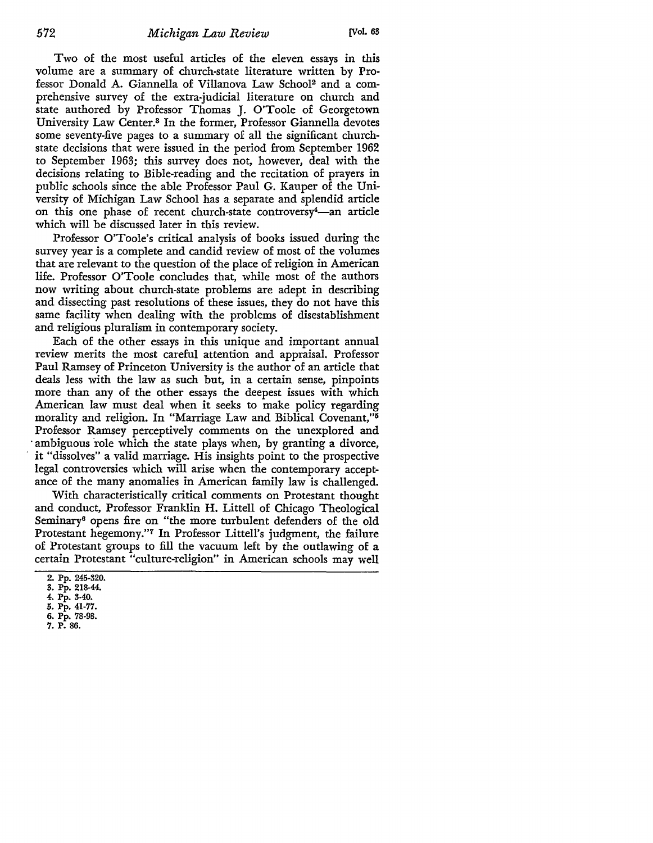Two of the most useful articles of the eleven essays in this volume are a summary of church-state literature written by Professor Donald A. Giannella of Villanova Law School2 and a comprehensive survey of the extra-judicial literature on church and state authored by Professor Thomas J. O'Toole of Georgetown University Law Center.3 In the former, Professor Giannella devotes some seventy-five pages to a summary of all the significant churchstate decisions that were issued in the period from September 1962 to September 1963; this survey does not, however, deal with the decisions relating to Bible-reading and the recitation of prayers in public schools since the able Professor Paul G. Kauper of the University of Michigan Law School has a separate and splendid article on this one phase of recent church-state controversy<sup>4</sup>-an article which will be discussed later in this review.

Professor O'Toole's critical analysis of books issued during the survey year is a complete and candid review of most of the volumes that are relevant to the question of the place of religion in American life. Professor O'Toole concludes that, while most of the authors now writing about church-state problems are adept in describing and dissecting past resolutions of these issues, they do not have this same facility when dealing with the problems of disestablishment and religious pluralism in contemporary society.

Each of the other essays in this unique and important annual review merits the most careful attention and appraisal. Professor Paul Ramsey of Princeton University is the author of an article that deals less with the law as such but, in a certain sense, pinpoints more than any of the other essays the deepest issues with which American law must deal when it seeks to make policy regarding morality and religion. In "Marriage Law and Biblical Covenant,"<sup>5</sup> Professor Ramsey perceptively comments on the unexplored and ambiguous role which the state plays when, by granting a divorce, it "dissolves" a valid marriage. His insights point to the prospective legal controversies which will arise when the contemporary acceptance of the many anomalies in American family law is challenged.

With characteristically critical comments on Protestant thought and conduct, Professor Franklin H. Littell of Chicago Theological Seminary6 opens fire on "the more turbulent defenders of the old Protestant hegemony.''7 In Professor Littell's judgment, the failure of Protestant groups to fill the vacuum left by the outlawing of a certain Protestant "culture-religion" in American schools may well

<sup>2.</sup> Pp. 245-320.

<sup>3.</sup> Pp. 218-44.

<sup>4.</sup> Pp. 3-40.

<sup>5.</sup> Pp. 41-77. 6. Pp. 78-98.

<sup>7.</sup> P. 86.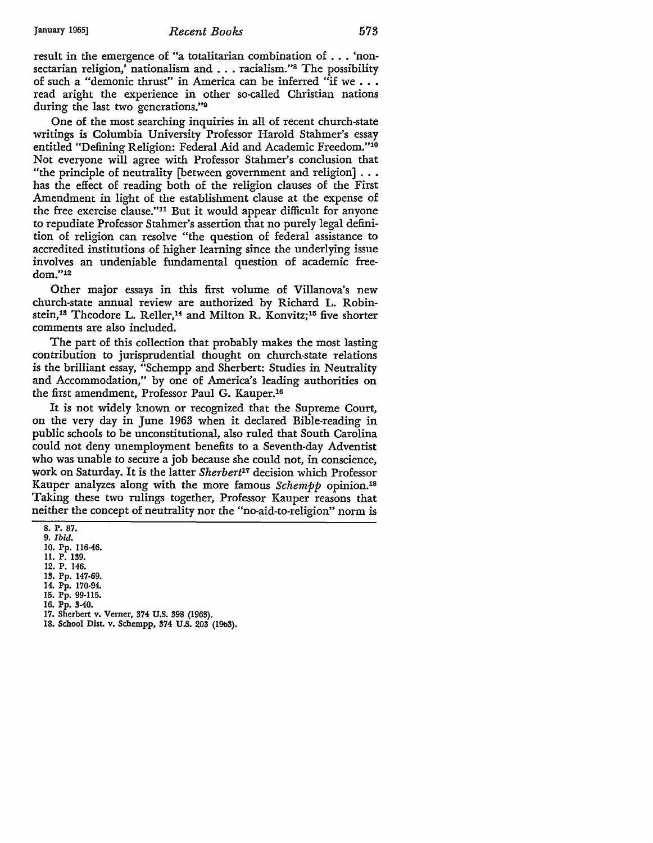result in the emergence of "a totalitarian combination of . . . 'nonsectarian religion,' nationalism and ... racialism."8 The possibility of such a "demonic thrust" in America can be inferred "if we ... read aright the experience in other so-called Christian nations during the last two generations."<sup>9</sup>

One of the most searching inquiries in all of recent church-state writings is Columbia University Professor Harold Stahmer's essay entitled "Defining Religion: Federal Aid and Academic Freedom."10 Not everyone will agree with Professor Stahmer's conclusion that "the principle of neutrality [between government and religion] ... has the effect of reading both of the religion clauses of the First Amendment in light of the establishment clause at the expense of the free exercise clause."11 But it would appear difficult for anyone to repudiate Professor Stahmer's assertion that no purely legal definition of religion can resolve "the question of federal assistance to accredited institutions of higher learning since the underlying issue involves an undeniable fundamental question of academic freedom."12

Other major essays in this first volume of Villanova's new church-state annual review are authorized by Richard L. Robinstein,<sup>13</sup> Theodore L. Reller,<sup>14</sup> and Milton R. Konvitz;<sup>15</sup> five shorter comments are also included.

The part of this collection that probably makes the most lasting contribution to jurisprudential thought on church-state relations is the brilliant essay, "Schempp and Sherbert: Studies in Neutrality and Accommodation," by one of America's leading authorities on the first amendment, Professor Paul G. Kauper.16

It is not widely known or recognized that the Supreme Court, on the very day in June 1963 when it declared Bible-reading in public schools to be unconstitutional, also ruled that South Carolina could not deny unemployment benefits to a Seventh-day Adventist who was unable to secure a job because she could not, in conscience, work on Saturday. It is the latter *Sherbert*11 decision which Professor Kauper analyzes along with the more famous *Schempp* opinion.1s Taking these two rulings together, Professor Kauper reasons that neither the concept of neutrality nor the "no-aid-to-religion" norm is

8. P. 87.

- 9. *Ibid.*
- 10. Pp. 116-46.
- 11. P. 139.
- 12. P. 146. 13. Pp. 147-69.
- 14. Pp. 170-94.
- 15. Pp. 99-115.
- 16. Pp. 3-40.
- 17. Sherbert v. Verner, 374 U.S. 398 (1963).
- 18. School DisL v. Schempp, 374 U.S. 203 (19b3).